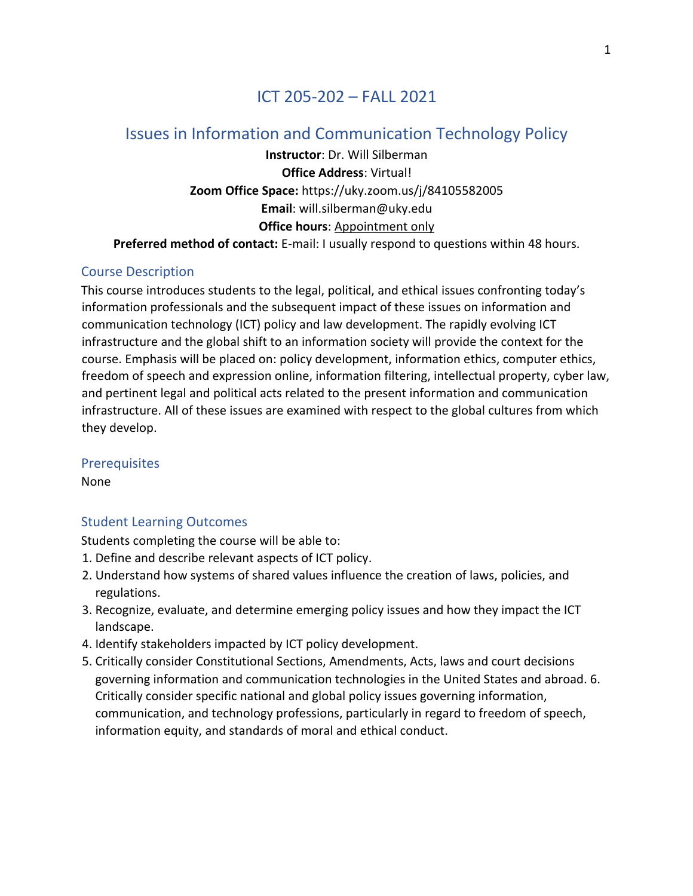# ICT 205-202 – FALL 2021

# Issues in Information and Communication Technology Policy

**Instructor**: Dr. Will Silberman **Office Address**: Virtual! **Zoom Office Space:** https://uky.zoom.us/j/84105582005 **Email**: will.silberman@uky.edu **Office hours**: Appointment only **Preferred method of contact:** E-mail: I usually respond to questions within 48 hours.

### Course Description

This course introduces students to the legal, political, and ethical issues confronting today's information professionals and the subsequent impact of these issues on information and communication technology (ICT) policy and law development. The rapidly evolving ICT infrastructure and the global shift to an information society will provide the context for the course. Emphasis will be placed on: policy development, information ethics, computer ethics, freedom of speech and expression online, information filtering, intellectual property, cyber law, and pertinent legal and political acts related to the present information and communication infrastructure. All of these issues are examined with respect to the global cultures from which they develop.

### Prerequisites

None

### Student Learning Outcomes

Students completing the course will be able to:

- 1. Define and describe relevant aspects of ICT policy.
- 2. Understand how systems of shared values influence the creation of laws, policies, and regulations.
- 3. Recognize, evaluate, and determine emerging policy issues and how they impact the ICT landscape.
- 4. Identify stakeholders impacted by ICT policy development.
- 5. Critically consider Constitutional Sections, Amendments, Acts, laws and court decisions governing information and communication technologies in the United States and abroad. 6. Critically consider specific national and global policy issues governing information, communication, and technology professions, particularly in regard to freedom of speech, information equity, and standards of moral and ethical conduct.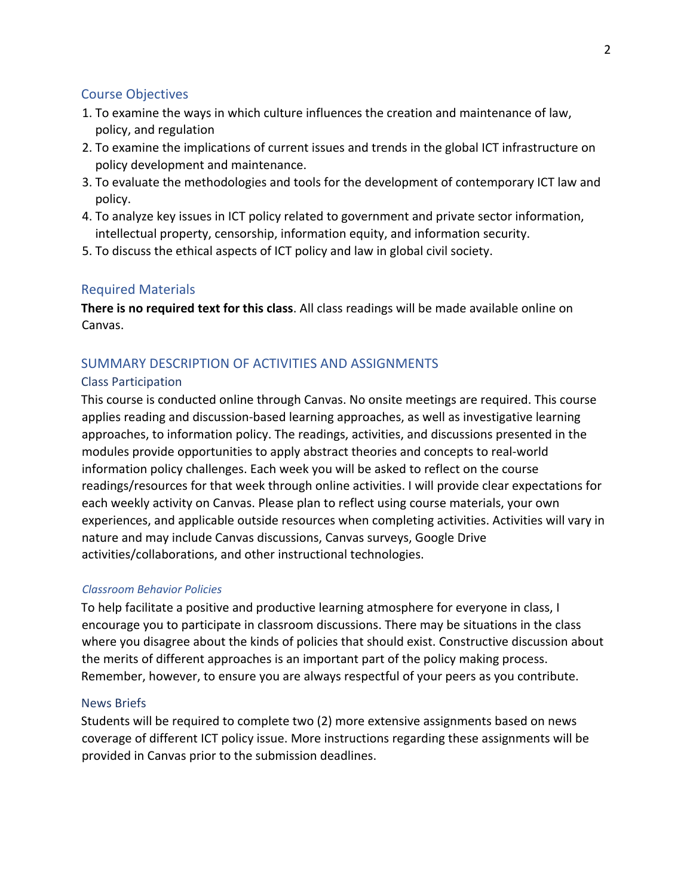### Course Objectives

- 1. To examine the ways in which culture influences the creation and maintenance of law, policy, and regulation
- 2. To examine the implications of current issues and trends in the global ICT infrastructure on policy development and maintenance.
- 3. To evaluate the methodologies and tools for the development of contemporary ICT law and policy.
- 4. To analyze key issues in ICT policy related to government and private sector information, intellectual property, censorship, information equity, and information security.
- 5. To discuss the ethical aspects of ICT policy and law in global civil society.

### Required Materials

**There is no required text for this class**. All class readings will be made available online on Canvas.

## SUMMARY DESCRIPTION OF ACTIVITIES AND ASSIGNMENTS

### Class Participation

This course is conducted online through Canvas. No onsite meetings are required. This course applies reading and discussion-based learning approaches, as well as investigative learning approaches, to information policy. The readings, activities, and discussions presented in the modules provide opportunities to apply abstract theories and concepts to real-world information policy challenges. Each week you will be asked to reflect on the course readings/resources for that week through online activities. I will provide clear expectations for each weekly activity on Canvas. Please plan to reflect using course materials, your own experiences, and applicable outside resources when completing activities. Activities will vary in nature and may include Canvas discussions, Canvas surveys, Google Drive activities/collaborations, and other instructional technologies.

### *Classroom Behavior Policies*

To help facilitate a positive and productive learning atmosphere for everyone in class, I encourage you to participate in classroom discussions. There may be situations in the class where you disagree about the kinds of policies that should exist. Constructive discussion about the merits of different approaches is an important part of the policy making process. Remember, however, to ensure you are always respectful of your peers as you contribute.

### News Briefs

Students will be required to complete two (2) more extensive assignments based on news coverage of different ICT policy issue. More instructions regarding these assignments will be provided in Canvas prior to the submission deadlines.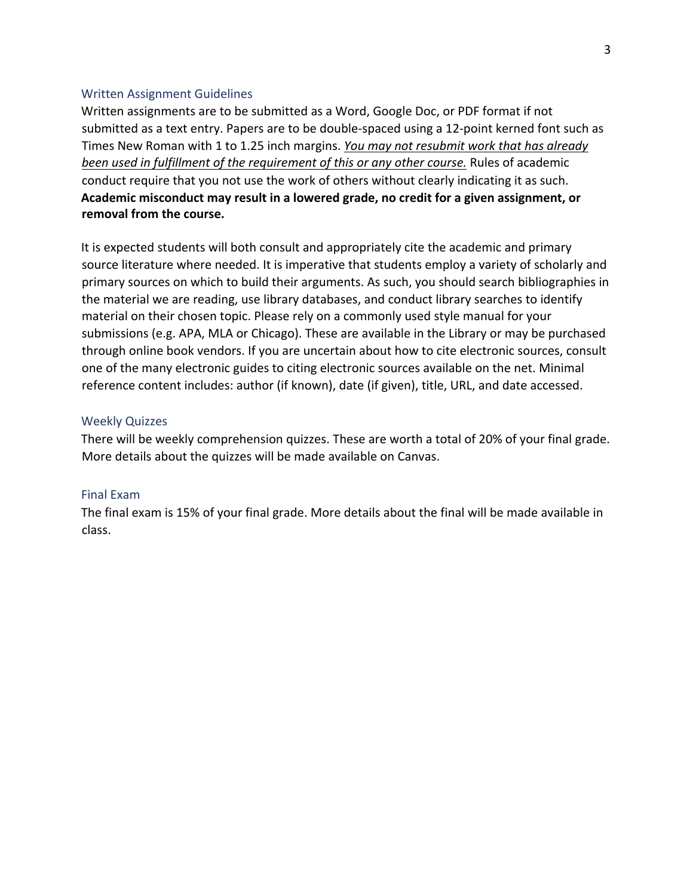#### Written Assignment Guidelines

Written assignments are to be submitted as a Word, Google Doc, or PDF format if not submitted as a text entry. Papers are to be double-spaced using a 12-point kerned font such as Times New Roman with 1 to 1.25 inch margins. *You may not resubmit work that has already been used in fulfillment of the requirement of this or any other course.* Rules of academic conduct require that you not use the work of others without clearly indicating it as such. **Academic misconduct may result in a lowered grade, no credit for a given assignment, or removal from the course.** 

It is expected students will both consult and appropriately cite the academic and primary source literature where needed. It is imperative that students employ a variety of scholarly and primary sources on which to build their arguments. As such, you should search bibliographies in the material we are reading, use library databases, and conduct library searches to identify material on their chosen topic. Please rely on a commonly used style manual for your submissions (e.g. APA, MLA or Chicago). These are available in the Library or may be purchased through online book vendors. If you are uncertain about how to cite electronic sources, consult one of the many electronic guides to citing electronic sources available on the net. Minimal reference content includes: author (if known), date (if given), title, URL, and date accessed.

#### Weekly Quizzes

There will be weekly comprehension quizzes. These are worth a total of 20% of your final grade. More details about the quizzes will be made available on Canvas.

#### Final Exam

The final exam is 15% of your final grade. More details about the final will be made available in class.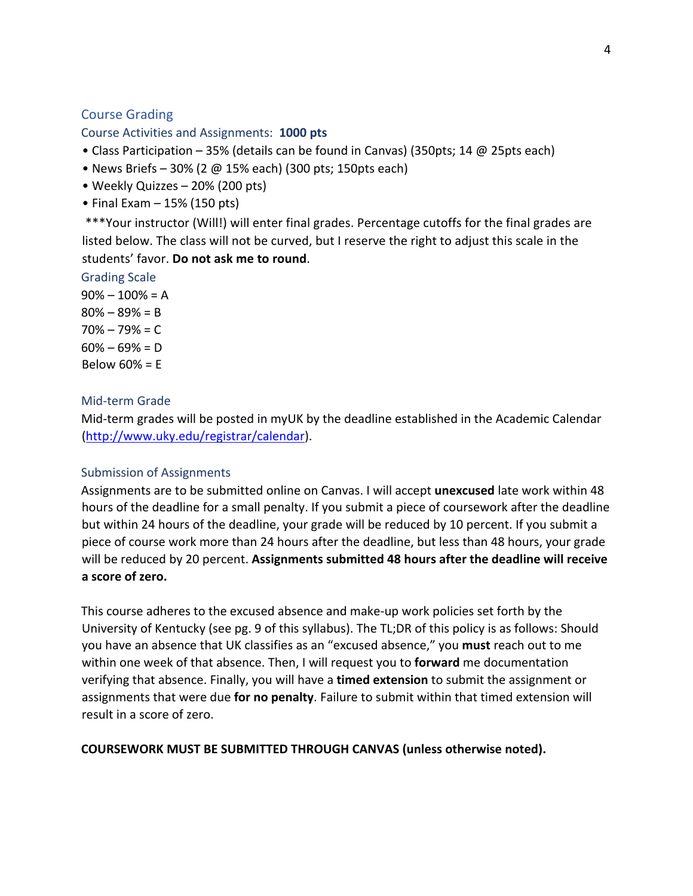### Course Grading

Course Activities and Assignments: **1000 pts**

- Class Participation 35% (details can be found in Canvas) (350pts; 14 @ 25pts each)
- News Briefs 30% (2 @ 15% each) (300 pts; 150pts each)
- Weekly Quizzes 20% (200 pts)
- Final Exam 15% (150 pts)

\*\*\*Your instructor (Will!) will enter final grades. Percentage cutoffs for the final grades are listed below. The class will not be curved, but I reserve the right to adjust this scale in the students' favor. **Do not ask me to round**.

Grading Scale

 $90\% - 100\% = A$  $80\% - 89\% = B$  $70% - 79% = C$  $60\% - 69\% = D$ Below  $60\% = E$ 

### Mid-term Grade

Mid-term grades will be posted in myUK by the deadline established in the Academic Calendar (http://www.uky.edu/registrar/calendar).

### Submission of Assignments

Assignments are to be submitted online on Canvas. I will accept **unexcused** late work within 48 hours of the deadline for a small penalty. If you submit a piece of coursework after the deadline but within 24 hours of the deadline, your grade will be reduced by 10 percent. If you submit a piece of course work more than 24 hours after the deadline, but less than 48 hours, your grade will be reduced by 20 percent. **Assignments submitted 48 hours after the deadline will receive a score of zero.**

This course adheres to the excused absence and make-up work policies set forth by the University of Kentucky (see pg. 9 of this syllabus). The TL;DR of this policy is as follows: Should you have an absence that UK classifies as an "excused absence," you **must** reach out to me within one week of that absence. Then, I will request you to **forward** me documentation verifying that absence. Finally, you will have a **timed extension** to submit the assignment or assignments that were due **for no penalty**. Failure to submit within that timed extension will result in a score of zero.

### **COURSEWORK MUST BE SUBMITTED THROUGH CANVAS (unless otherwise noted).**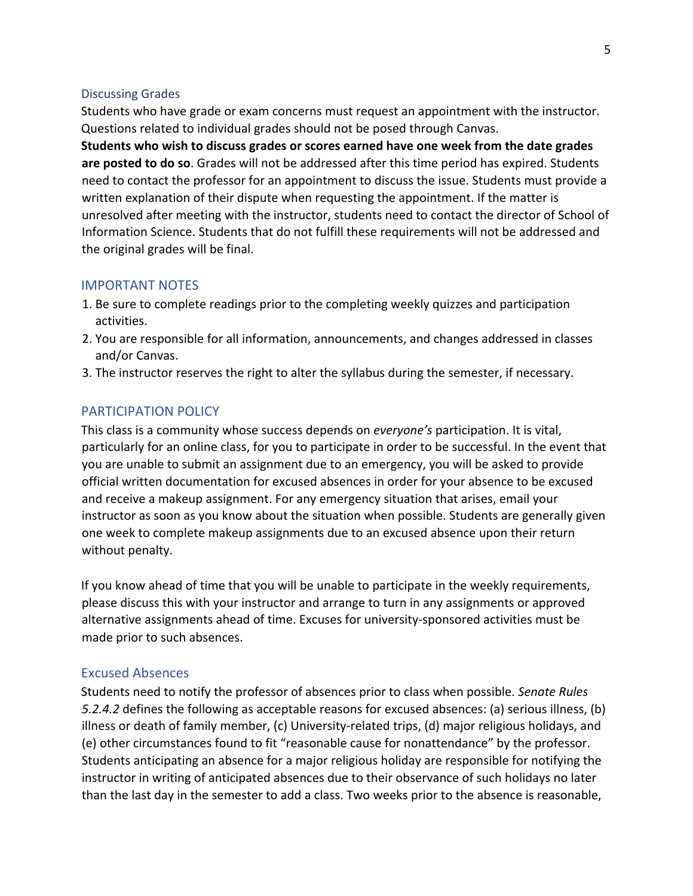#### Discussing Grades

Students who have grade or exam concerns must request an appointment with the instructor. Questions related to individual grades should not be posed through Canvas.

**Students who wish to discuss grades or scores earned have one week from the date grades are posted to do so**. Grades will not be addressed after this time period has expired. Students need to contact the professor for an appointment to discuss the issue. Students must provide a written explanation of their dispute when requesting the appointment. If the matter is unresolved after meeting with the instructor, students need to contact the director of School of Information Science. Students that do not fulfill these requirements will not be addressed and the original grades will be final.

#### IMPORTANT NOTES

- 1. Be sure to complete readings prior to the completing weekly quizzes and participation activities.
- 2. You are responsible for all information, announcements, and changes addressed in classes and/or Canvas.
- 3. The instructor reserves the right to alter the syllabus during the semester, if necessary.

### PARTICIPATION POLICY

This class is a community whose success depends on *everyone's* participation. It is vital, particularly for an online class, for you to participate in order to be successful. In the event that you are unable to submit an assignment due to an emergency, you will be asked to provide official written documentation for excused absences in order for your absence to be excused and receive a makeup assignment. For any emergency situation that arises, email your instructor as soon as you know about the situation when possible. Students are generally given one week to complete makeup assignments due to an excused absence upon their return without penalty.

If you know ahead of time that you will be unable to participate in the weekly requirements, please discuss this with your instructor and arrange to turn in any assignments or approved alternative assignments ahead of time. Excuses for university-sponsored activities must be made prior to such absences.

### Excused Absences

Students need to notify the professor of absences prior to class when possible. *Senate Rules 5.2.4.2* defines the following as acceptable reasons for excused absences: (a) serious illness, (b) illness or death of family member, (c) University-related trips, (d) major religious holidays, and (e) other circumstances found to fit "reasonable cause for nonattendance" by the professor. Students anticipating an absence for a major religious holiday are responsible for notifying the instructor in writing of anticipated absences due to their observance of such holidays no later than the last day in the semester to add a class. Two weeks prior to the absence is reasonable,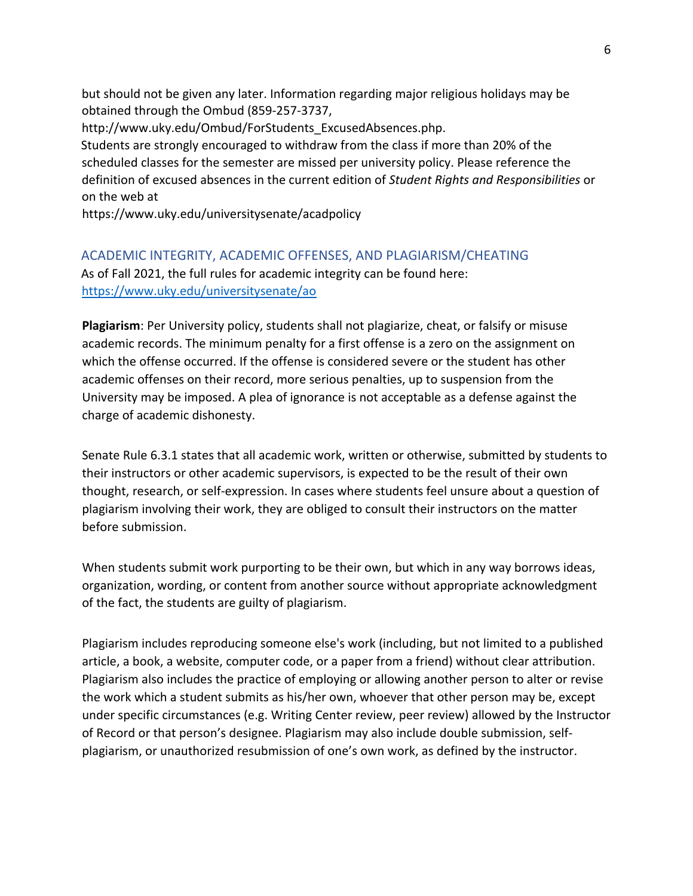but should not be given any later. Information regarding major religious holidays may be obtained through the Ombud (859-257-3737,

http://www.uky.edu/Ombud/ForStudents\_ExcusedAbsences.php. Students are strongly encouraged to withdraw from the class if more than 20% of the scheduled classes for the semester are missed per university policy. Please reference the definition of excused absences in the current edition of *Student Rights and Responsibilities* or

on the web at

https://www.uky.edu/universitysenate/acadpolicy

### ACADEMIC INTEGRITY, ACADEMIC OFFENSES, AND PLAGIARISM/CHEATING

As of Fall 2021, the full rules for academic integrity can be found here: https://www.uky.edu/universitysenate/ao

**Plagiarism**: Per University policy, students shall not plagiarize, cheat, or falsify or misuse academic records. The minimum penalty for a first offense is a zero on the assignment on which the offense occurred. If the offense is considered severe or the student has other academic offenses on their record, more serious penalties, up to suspension from the University may be imposed. A plea of ignorance is not acceptable as a defense against the charge of academic dishonesty.

Senate Rule 6.3.1 states that all academic work, written or otherwise, submitted by students to their instructors or other academic supervisors, is expected to be the result of their own thought, research, or self-expression. In cases where students feel unsure about a question of plagiarism involving their work, they are obliged to consult their instructors on the matter before submission.

When students submit work purporting to be their own, but which in any way borrows ideas, organization, wording, or content from another source without appropriate acknowledgment of the fact, the students are guilty of plagiarism.

Plagiarism includes reproducing someone else's work (including, but not limited to a published article, a book, a website, computer code, or a paper from a friend) without clear attribution. Plagiarism also includes the practice of employing or allowing another person to alter or revise the work which a student submits as his/her own, whoever that other person may be, except under specific circumstances (e.g. Writing Center review, peer review) allowed by the Instructor of Record or that person's designee. Plagiarism may also include double submission, selfplagiarism, or unauthorized resubmission of one's own work, as defined by the instructor.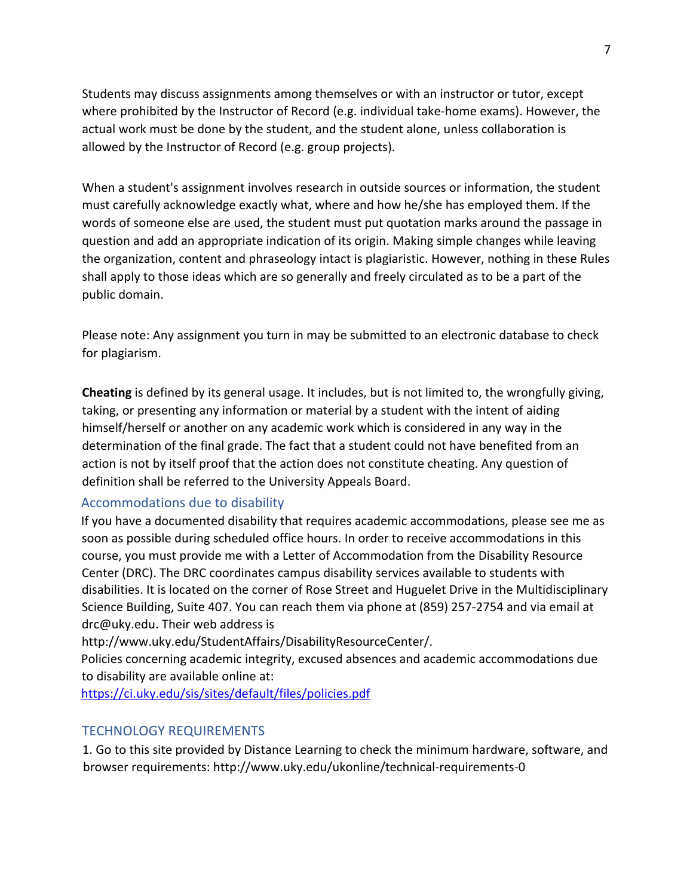Students may discuss assignments among themselves or with an instructor or tutor, except where prohibited by the Instructor of Record (e.g. individual take-home exams). However, the actual work must be done by the student, and the student alone, unless collaboration is allowed by the Instructor of Record (e.g. group projects).

When a student's assignment involves research in outside sources or information, the student must carefully acknowledge exactly what, where and how he/she has employed them. If the words of someone else are used, the student must put quotation marks around the passage in question and add an appropriate indication of its origin. Making simple changes while leaving the organization, content and phraseology intact is plagiaristic. However, nothing in these Rules shall apply to those ideas which are so generally and freely circulated as to be a part of the public domain.

Please note: Any assignment you turn in may be submitted to an electronic database to check for plagiarism.

**Cheating** is defined by its general usage. It includes, but is not limited to, the wrongfully giving, taking, or presenting any information or material by a student with the intent of aiding himself/herself or another on any academic work which is considered in any way in the determination of the final grade. The fact that a student could not have benefited from an action is not by itself proof that the action does not constitute cheating. Any question of definition shall be referred to the University Appeals Board.

### Accommodations due to disability

If you have a documented disability that requires academic accommodations, please see me as soon as possible during scheduled office hours. In order to receive accommodations in this course, you must provide me with a Letter of Accommodation from the Disability Resource Center (DRC). The DRC coordinates campus disability services available to students with disabilities. It is located on the corner of Rose Street and Huguelet Drive in the Multidisciplinary Science Building, Suite 407. You can reach them via phone at (859) 257-2754 and via email at drc@uky.edu. Their web address is

http://www.uky.edu/StudentAffairs/DisabilityResourceCenter/.

Policies concerning academic integrity, excused absences and academic accommodations due to disability are available online at:

https://ci.uky.edu/sis/sites/default/files/policies.pdf

### TECHNOLOGY REQUIREMENTS

1. Go to this site provided by Distance Learning to check the minimum hardware, software, and browser requirements: http://www.uky.edu/ukonline/technical-requirements-0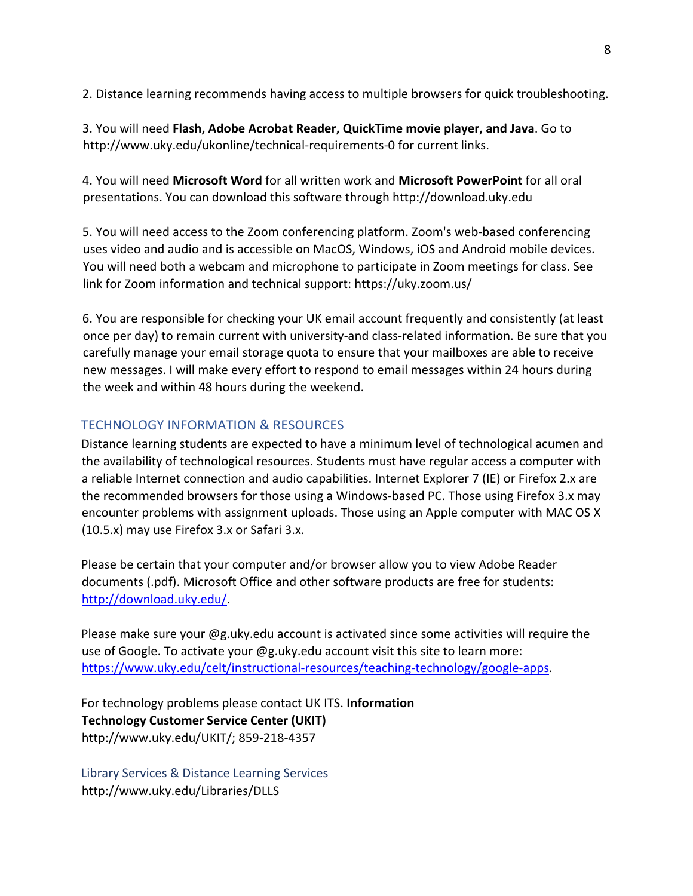2. Distance learning recommends having access to multiple browsers for quick troubleshooting.

3. You will need **Flash, Adobe Acrobat Reader, QuickTime movie player, and Java**. Go to http://www.uky.edu/ukonline/technical-requirements-0 for current links.

4. You will need **Microsoft Word** for all written work and **Microsoft PowerPoint** for all oral presentations. You can download this software through http://download.uky.edu

5. You will need access to the Zoom conferencing platform. Zoom's web-based conferencing uses video and audio and is accessible on MacOS, Windows, iOS and Android mobile devices. You will need both a webcam and microphone to participate in Zoom meetings for class. See link for Zoom information and technical support: https://uky.zoom.us/

6. You are responsible for checking your UK email account frequently and consistently (at least once per day) to remain current with university-and class-related information. Be sure that you carefully manage your email storage quota to ensure that your mailboxes are able to receive new messages. I will make every effort to respond to email messages within 24 hours during the week and within 48 hours during the weekend.

### TECHNOLOGY INFORMATION & RESOURCES

Distance learning students are expected to have a minimum level of technological acumen and the availability of technological resources. Students must have regular access a computer with a reliable Internet connection and audio capabilities. Internet Explorer 7 (IE) or Firefox 2.x are the recommended browsers for those using a Windows-based PC. Those using Firefox 3.x may encounter problems with assignment uploads. Those using an Apple computer with MAC OS X (10.5.x) may use Firefox 3.x or Safari 3.x.

Please be certain that your computer and/or browser allow you to view Adobe Reader documents (.pdf). Microsoft Office and other software products are free for students: http://download.uky.edu/.

Please make sure your @g.uky.edu account is activated since some activities will require the use of Google. To activate your @g.uky.edu account visit this site to learn more: https://www.uky.edu/celt/instructional-resources/teaching-technology/google-apps.

For technology problems please contact UK ITS. **Information Technology Customer Service Center (UKIT)**  http://www.uky.edu/UKIT/; 859-218-4357

Library Services & Distance Learning Services http://www.uky.edu/Libraries/DLLS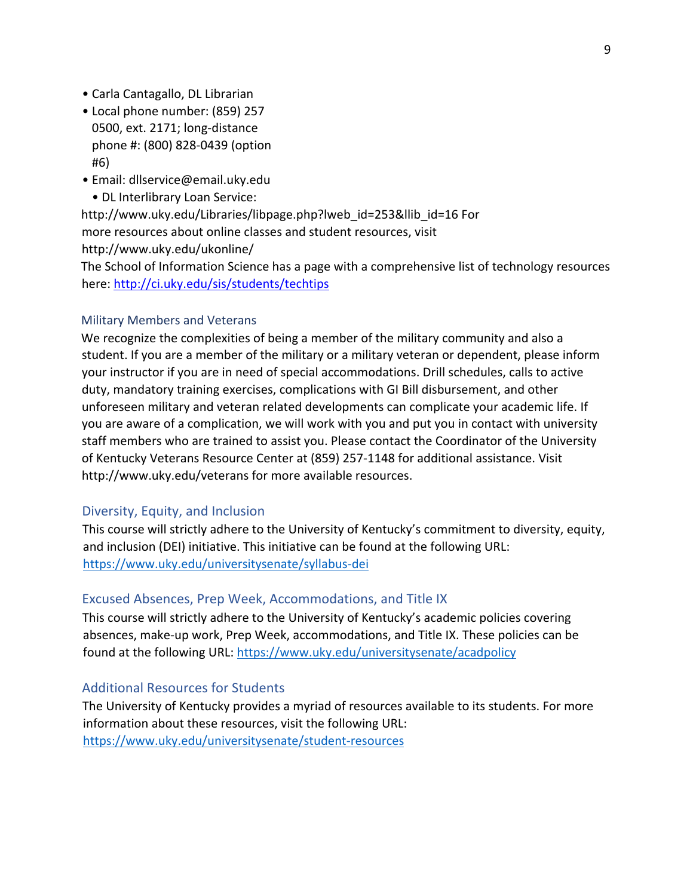- Carla Cantagallo, DL Librarian
- Local phone number: (859) 257 0500, ext. 2171; long-distance phone #: (800) 828-0439 (option #6)
- Email: dllservice@email.uky.edu
	- DL Interlibrary Loan Service:

http://www.uky.edu/Libraries/libpage.php?lweb\_id=253&llib\_id=16 For more resources about online classes and student resources, visit http://www.uky.edu/ukonline/

The School of Information Science has a page with a comprehensive list of technology resources here: http://ci.uky.edu/sis/students/techtips

#### Military Members and Veterans

We recognize the complexities of being a member of the military community and also a student. If you are a member of the military or a military veteran or dependent, please inform your instructor if you are in need of special accommodations. Drill schedules, calls to active duty, mandatory training exercises, complications with GI Bill disbursement, and other unforeseen military and veteran related developments can complicate your academic life. If you are aware of a complication, we will work with you and put you in contact with university staff members who are trained to assist you. Please contact the Coordinator of the University of Kentucky Veterans Resource Center at (859) 257-1148 for additional assistance. Visit http://www.uky.edu/veterans for more available resources.

#### Diversity, Equity, and Inclusion

This course will strictly adhere to the University of Kentucky's commitment to diversity, equity, and inclusion (DEI) initiative. This initiative can be found at the following URL: https://www.uky.edu/universitysenate/syllabus-dei

#### Excused Absences, Prep Week, Accommodations, and Title IX

This course will strictly adhere to the University of Kentucky's academic policies covering absences, make-up work, Prep Week, accommodations, and Title IX. These policies can be found at the following URL: https://www.uky.edu/universitysenate/acadpolicy

#### Additional Resources for Students

The University of Kentucky provides a myriad of resources available to its students. For more information about these resources, visit the following URL: https://www.uky.edu/universitysenate/student-resources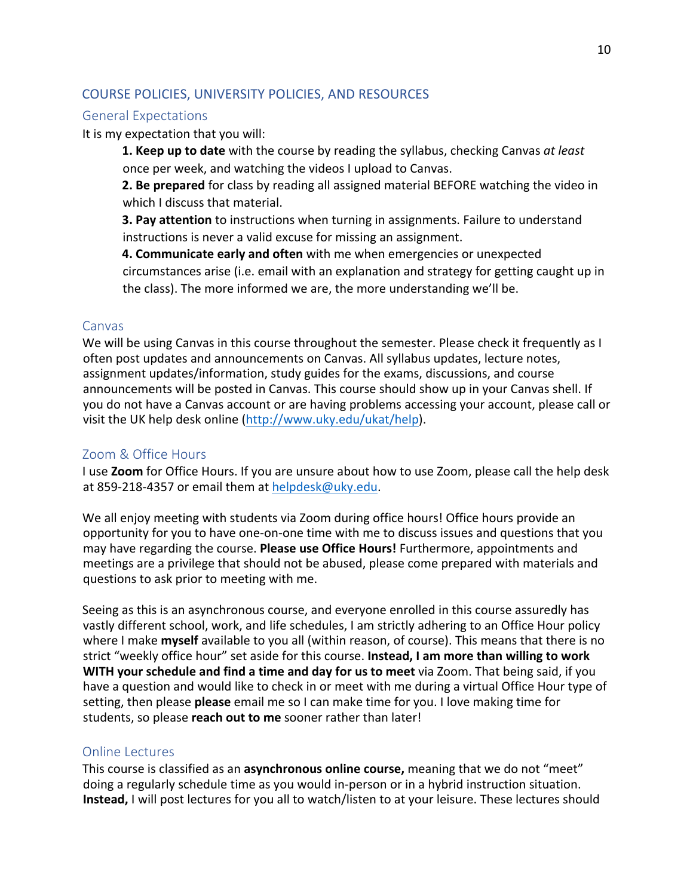### COURSE POLICIES, UNIVERSITY POLICIES, AND RESOURCES

### General Expectations

It is my expectation that you will:

**1. Keep up to date** with the course by reading the syllabus, checking Canvas *at least* once per week, and watching the videos I upload to Canvas.

**2. Be prepared** for class by reading all assigned material BEFORE watching the video in which I discuss that material.

**3. Pay attention** to instructions when turning in assignments. Failure to understand instructions is never a valid excuse for missing an assignment.

**4. Communicate early and often** with me when emergencies or unexpected circumstances arise (i.e. email with an explanation and strategy for getting caught up in the class). The more informed we are, the more understanding we'll be.

#### Canvas

We will be using Canvas in this course throughout the semester. Please check it frequently as I often post updates and announcements on Canvas. All syllabus updates, lecture notes, assignment updates/information, study guides for the exams, discussions, and course announcements will be posted in Canvas. This course should show up in your Canvas shell. If you do not have a Canvas account or are having problems accessing your account, please call or visit the UK help desk online (http://www.uky.edu/ukat/help).

### Zoom & Office Hours

I use **Zoom** for Office Hours. If you are unsure about how to use Zoom, please call the help desk at 859-218-4357 or email them at helpdesk@uky.edu.

We all enjoy meeting with students via Zoom during office hours! Office hours provide an opportunity for you to have one-on-one time with me to discuss issues and questions that you may have regarding the course. **Please use Office Hours!** Furthermore, appointments and meetings are a privilege that should not be abused, please come prepared with materials and questions to ask prior to meeting with me.

Seeing as this is an asynchronous course, and everyone enrolled in this course assuredly has vastly different school, work, and life schedules, I am strictly adhering to an Office Hour policy where I make **myself** available to you all (within reason, of course). This means that there is no strict "weekly office hour" set aside for this course. **Instead, I am more than willing to work WITH your schedule and find a time and day for us to meet** via Zoom. That being said, if you have a question and would like to check in or meet with me during a virtual Office Hour type of setting, then please **please** email me so I can make time for you. I love making time for students, so please **reach out to me** sooner rather than later!

### Online Lectures

This course is classified as an **asynchronous online course,** meaning that we do not "meet" doing a regularly schedule time as you would in-person or in a hybrid instruction situation. **Instead,** I will post lectures for you all to watch/listen to at your leisure. These lectures should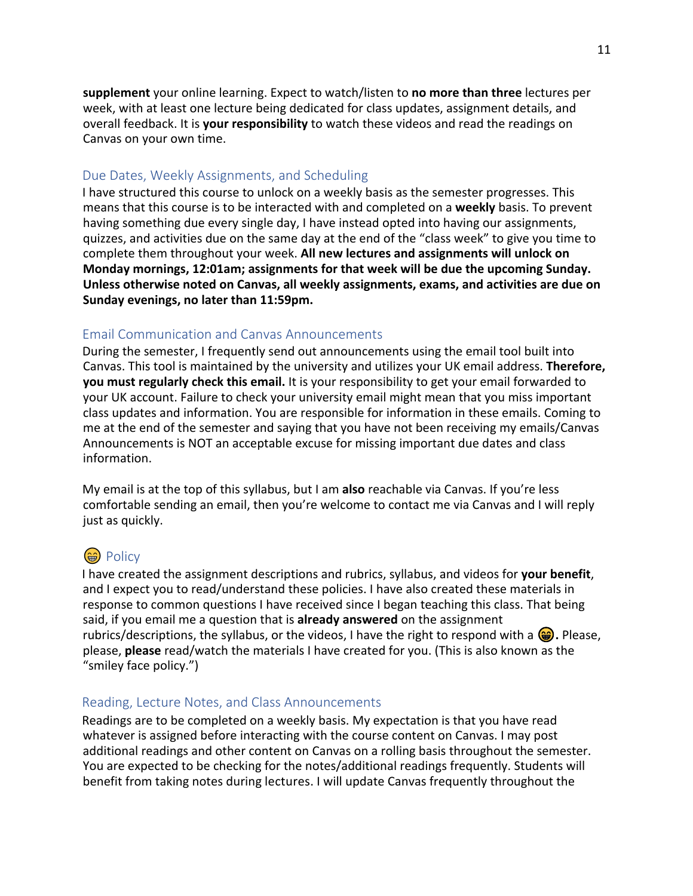**supplement** your online learning. Expect to watch/listen to **no more than three** lectures per week, with at least one lecture being dedicated for class updates, assignment details, and overall feedback. It is **your responsibility** to watch these videos and read the readings on Canvas on your own time.

### Due Dates, Weekly Assignments, and Scheduling

I have structured this course to unlock on a weekly basis as the semester progresses. This means that this course is to be interacted with and completed on a **weekly** basis. To prevent having something due every single day, I have instead opted into having our assignments, quizzes, and activities due on the same day at the end of the "class week" to give you time to complete them throughout your week. **All new lectures and assignments will unlock on Monday mornings, 12:01am; assignments for that week will be due the upcoming Sunday. Unless otherwise noted on Canvas, all weekly assignments, exams, and activities are due on Sunday evenings, no later than 11:59pm.** 

### Email Communication and Canvas Announcements

During the semester, I frequently send out announcements using the email tool built into Canvas. This tool is maintained by the university and utilizes your UK email address. **Therefore, you must regularly check this email.** It is your responsibility to get your email forwarded to your UK account. Failure to check your university email might mean that you miss important class updates and information. You are responsible for information in these emails. Coming to me at the end of the semester and saying that you have not been receiving my emails/Canvas Announcements is NOT an acceptable excuse for missing important due dates and class information.

My email is at the top of this syllabus, but I am **also** reachable via Canvas. If you're less comfortable sending an email, then you're welcome to contact me via Canvas and I will reply just as quickly.

# $\circledast$  Policy

I have created the assignment descriptions and rubrics, syllabus, and videos for **your benefit**, and I expect you to read/understand these policies. I have also created these materials in response to common questions I have received since I began teaching this class. That being said, if you email me a question that is **already answered** on the assignment rubrics/descriptions, the syllabus, or the videos, I have the right to respond with a  $\bigcirc$ . Please, please, **please** read/watch the materials I have created for you. (This is also known as the "smiley face policy.")

### Reading, Lecture Notes, and Class Announcements

Readings are to be completed on a weekly basis. My expectation is that you have read whatever is assigned before interacting with the course content on Canvas. I may post additional readings and other content on Canvas on a rolling basis throughout the semester. You are expected to be checking for the notes/additional readings frequently. Students will benefit from taking notes during lectures. I will update Canvas frequently throughout the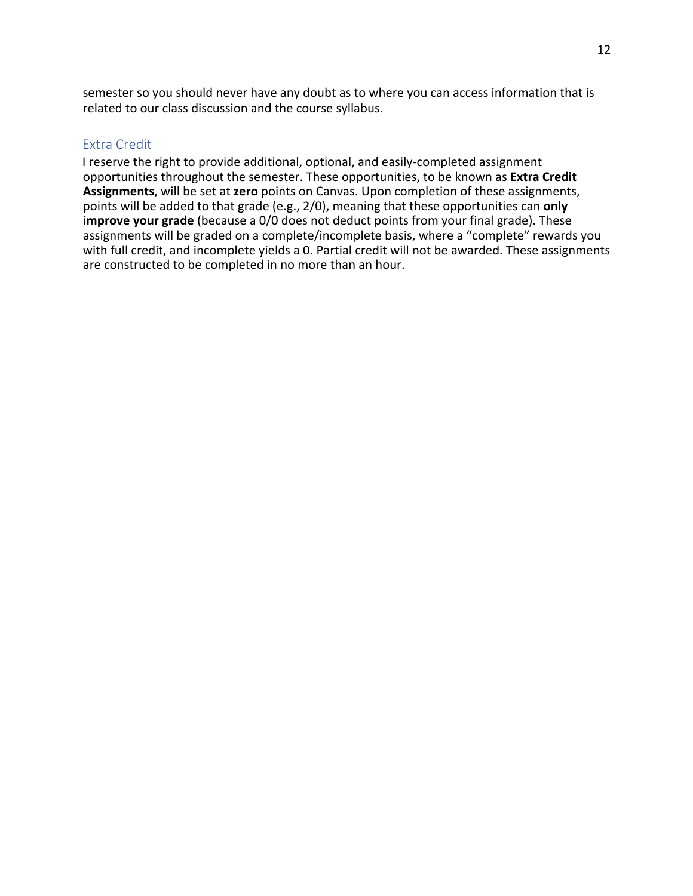semester so you should never have any doubt as to where you can access information that is related to our class discussion and the course syllabus.

### Extra Credit

I reserve the right to provide additional, optional, and easily-completed assignment opportunities throughout the semester. These opportunities, to be known as **Extra Credit Assignments**, will be set at **zero** points on Canvas. Upon completion of these assignments, points will be added to that grade (e.g., 2/0), meaning that these opportunities can **only improve your grade** (because a 0/0 does not deduct points from your final grade). These assignments will be graded on a complete/incomplete basis, where a "complete" rewards you with full credit, and incomplete yields a 0. Partial credit will not be awarded. These assignments are constructed to be completed in no more than an hour.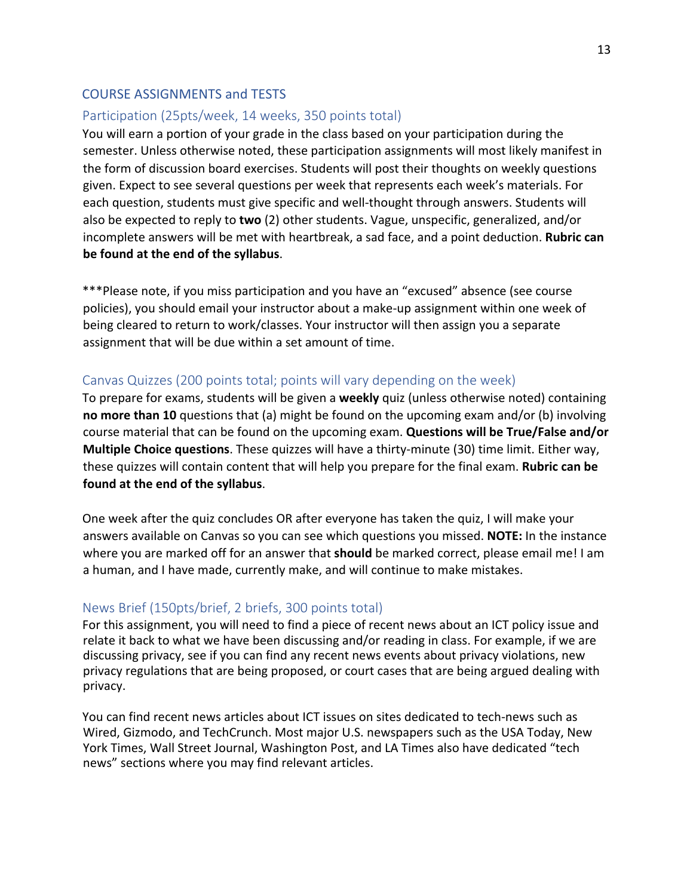### COURSE ASSIGNMENTS and TESTS

### Participation (25pts/week, 14 weeks, 350 points total)

You will earn a portion of your grade in the class based on your participation during the semester. Unless otherwise noted, these participation assignments will most likely manifest in the form of discussion board exercises. Students will post their thoughts on weekly questions given. Expect to see several questions per week that represents each week's materials. For each question, students must give specific and well-thought through answers. Students will also be expected to reply to **two** (2) other students. Vague, unspecific, generalized, and/or incomplete answers will be met with heartbreak, a sad face, and a point deduction. **Rubric can be found at the end of the syllabus**.

\*\*\*Please note, if you miss participation and you have an "excused" absence (see course policies), you should email your instructor about a make-up assignment within one week of being cleared to return to work/classes. Your instructor will then assign you a separate assignment that will be due within a set amount of time.

### Canvas Quizzes (200 points total; points will vary depending on the week)

To prepare for exams, students will be given a **weekly** quiz (unless otherwise noted) containing **no more than 10** questions that (a) might be found on the upcoming exam and/or (b) involving course material that can be found on the upcoming exam. **Questions will be True/False and/or Multiple Choice questions**. These quizzes will have a thirty-minute (30) time limit. Either way, these quizzes will contain content that will help you prepare for the final exam. **Rubric can be found at the end of the syllabus**.

One week after the quiz concludes OR after everyone has taken the quiz, I will make your answers available on Canvas so you can see which questions you missed. **NOTE:** In the instance where you are marked off for an answer that **should** be marked correct, please email me! I am a human, and I have made, currently make, and will continue to make mistakes.

### News Brief (150pts/brief, 2 briefs, 300 points total)

For this assignment, you will need to find a piece of recent news about an ICT policy issue and relate it back to what we have been discussing and/or reading in class. For example, if we are discussing privacy, see if you can find any recent news events about privacy violations, new privacy regulations that are being proposed, or court cases that are being argued dealing with privacy.

You can find recent news articles about ICT issues on sites dedicated to tech-news such as Wired, Gizmodo, and TechCrunch. Most major U.S. newspapers such as the USA Today, New York Times, Wall Street Journal, Washington Post, and LA Times also have dedicated "tech news" sections where you may find relevant articles.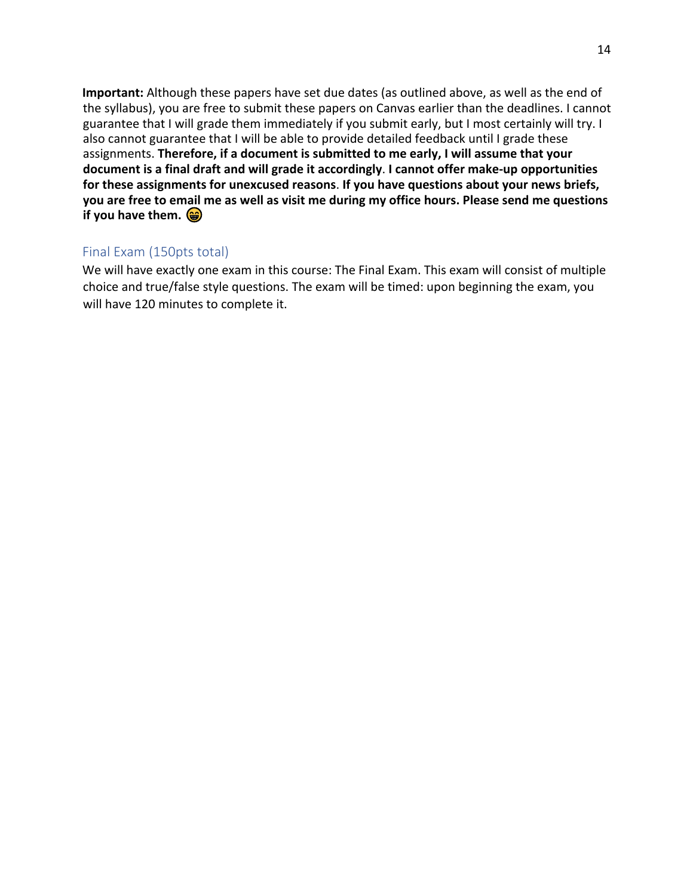**Important:** Although these papers have set due dates (as outlined above, as well as the end of the syllabus), you are free to submit these papers on Canvas earlier than the deadlines. I cannot guarantee that I will grade them immediately if you submit early, but I most certainly will try. I also cannot guarantee that I will be able to provide detailed feedback until I grade these assignments. **Therefore, if a document is submitted to me early, I will assume that your document is a final draft and will grade it accordingly**. **I cannot offer make-up opportunities for these assignments for unexcused reasons**. **If you have questions about your news briefs, you are free to email me as well as visit me during my office hours. Please send me questions if you have them.**  $\circledast$ 

### Final Exam (150pts total)

We will have exactly one exam in this course: The Final Exam. This exam will consist of multiple choice and true/false style questions. The exam will be timed: upon beginning the exam, you will have 120 minutes to complete it.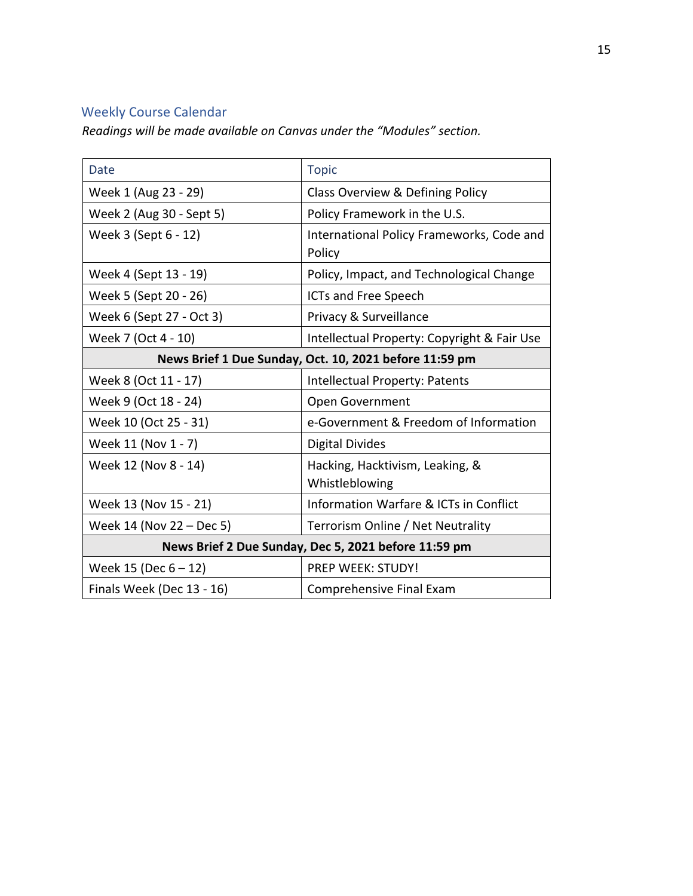# Weekly Course Calendar

*Readings will be made available on Canvas under the "Modules" section.* 

| Date                                                   | <b>Topic</b>                                        |  |  |
|--------------------------------------------------------|-----------------------------------------------------|--|--|
| Week 1 (Aug 23 - 29)                                   | Class Overview & Defining Policy                    |  |  |
| Week 2 (Aug 30 - Sept 5)                               | Policy Framework in the U.S.                        |  |  |
| Week 3 (Sept 6 - 12)                                   | International Policy Frameworks, Code and<br>Policy |  |  |
| Week 4 (Sept 13 - 19)                                  | Policy, Impact, and Technological Change            |  |  |
| Week 5 (Sept 20 - 26)                                  | <b>ICTs and Free Speech</b>                         |  |  |
| Week 6 (Sept 27 - Oct 3)                               | Privacy & Surveillance                              |  |  |
| Week 7 (Oct 4 - 10)                                    | Intellectual Property: Copyright & Fair Use         |  |  |
| News Brief 1 Due Sunday, Oct. 10, 2021 before 11:59 pm |                                                     |  |  |
| Week 8 (Oct 11 - 17)                                   | Intellectual Property: Patents                      |  |  |
| Week 9 (Oct 18 - 24)                                   | Open Government                                     |  |  |
| Week 10 (Oct 25 - 31)                                  | e-Government & Freedom of Information               |  |  |
| Week 11 (Nov 1 - 7)                                    | <b>Digital Divides</b>                              |  |  |
| Week 12 (Nov 8 - 14)                                   | Hacking, Hacktivism, Leaking, &<br>Whistleblowing   |  |  |
| Week 13 (Nov 15 - 21)                                  | Information Warfare & ICTs in Conflict              |  |  |
| Week 14 (Nov 22 – Dec 5)                               | Terrorism Online / Net Neutrality                   |  |  |
| News Brief 2 Due Sunday, Dec 5, 2021 before 11:59 pm   |                                                     |  |  |
| Week 15 (Dec $6 - 12$ )                                | <b>PREP WEEK: STUDY!</b>                            |  |  |
| Finals Week (Dec 13 - 16)                              | Comprehensive Final Exam                            |  |  |